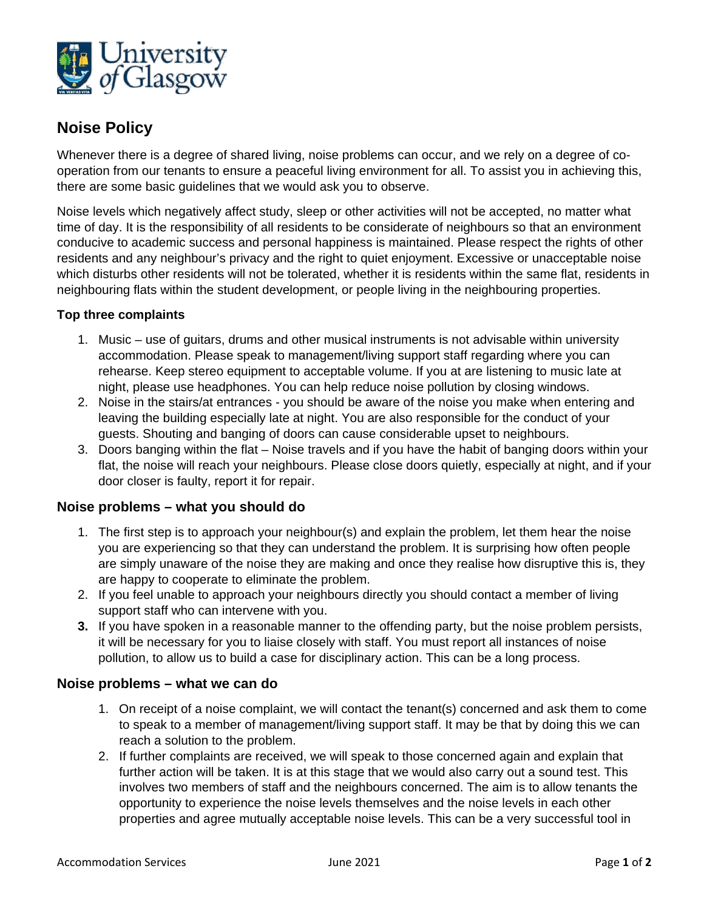

# **Noise Policy**

Whenever there is a degree of shared living, noise problems can occur, and we rely on a degree of cooperation from our tenants to ensure a peaceful living environment for all. To assist you in achieving this, there are some basic guidelines that we would ask you to observe.

Noise levels which negatively affect study, sleep or other activities will not be accepted, no matter what time of day. It is the responsibility of all residents to be considerate of neighbours so that an environment conducive to academic success and personal happiness is maintained. Please respect the rights of other residents and any neighbour's privacy and the right to quiet enjoyment. Excessive or unacceptable noise which disturbs other residents will not be tolerated, whether it is residents within the same flat, residents in neighbouring flats within the student development, or people living in the neighbouring properties.

### **Top three complaints**

- 1. Music use of guitars, drums and other musical instruments is not advisable within university accommodation. Please speak to management/living support staff regarding where you can rehearse. Keep stereo equipment to acceptable volume. If you at are listening to music late at night, please use headphones. You can help reduce noise pollution by closing windows.
- 2. Noise in the stairs/at entrances you should be aware of the noise you make when entering and leaving the building especially late at night. You are also responsible for the conduct of your guests. Shouting and banging of doors can cause considerable upset to neighbours.
- 3. Doors banging within the flat Noise travels and if you have the habit of banging doors within your flat, the noise will reach your neighbours. Please close doors quietly, especially at night, and if your door closer is faulty, report it for repair.

### **Noise problems – what you should do**

- 1. The first step is to approach your neighbour(s) and explain the problem, let them hear the noise you are experiencing so that they can understand the problem. It is surprising how often people are simply unaware of the noise they are making and once they realise how disruptive this is, they are happy to cooperate to eliminate the problem.
- 2. If you feel unable to approach your neighbours directly you should contact a member of living support staff who can intervene with you.
- **3.** If you have spoken in a reasonable manner to the offending party, but the noise problem persists, it will be necessary for you to liaise closely with staff. You must report all instances of noise pollution, to allow us to build a case for disciplinary action. This can be a long process.

#### **Noise problems – what we can do**

- 1. On receipt of a noise complaint, we will contact the tenant(s) concerned and ask them to come to speak to a member of management/living support staff. It may be that by doing this we can reach a solution to the problem.
- 2. If further complaints are received, we will speak to those concerned again and explain that further action will be taken. It is at this stage that we would also carry out a sound test. This involves two members of staff and the neighbours concerned. The aim is to allow tenants the opportunity to experience the noise levels themselves and the noise levels in each other properties and agree mutually acceptable noise levels. This can be a very successful tool in